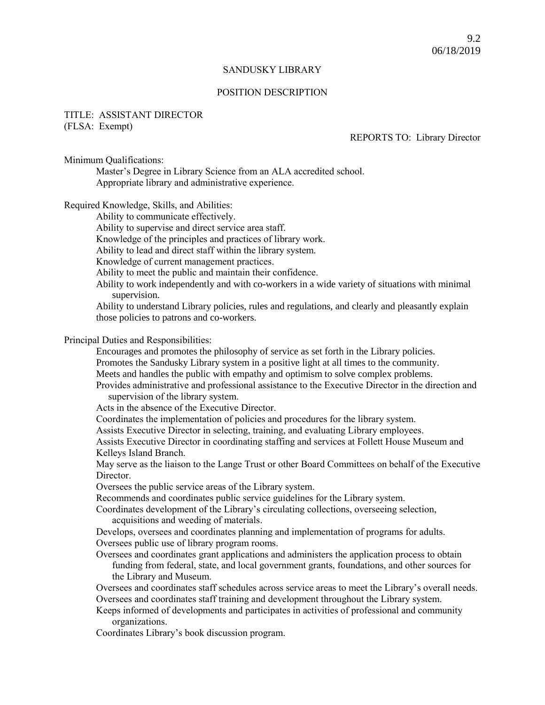### SANDUSKY LIBRARY

#### POSITION DESCRIPTION

# TITLE: ASSISTANT DIRECTOR (FLSA: Exempt)

# REPORTS TO: Library Director

Minimum Qualifications:

Master's Degree in Library Science from an ALA accredited school. Appropriate library and administrative experience.

Required Knowledge, Skills, and Abilities:

Ability to communicate effectively.

Ability to supervise and direct service area staff.

Knowledge of the principles and practices of library work.

Ability to lead and direct staff within the library system.

Knowledge of current management practices.

Ability to meet the public and maintain their confidence.

Ability to work independently and with co-workers in a wide variety of situations with minimal supervision.

Ability to understand Library policies, rules and regulations, and clearly and pleasantly explain those policies to patrons and co-workers.

# Principal Duties and Responsibilities:

Encourages and promotes the philosophy of service as set forth in the Library policies. Promotes the Sandusky Library system in a positive light at all times to the community. Meets and handles the public with empathy and optimism to solve complex problems.

Provides administrative and professional assistance to the Executive Director in the direction and supervision of the library system.

Acts in the absence of the Executive Director.

Coordinates the implementation of policies and procedures for the library system.

Assists Executive Director in selecting, training, and evaluating Library employees.

Assists Executive Director in coordinating staffing and services at Follett House Museum and Kelleys Island Branch.

May serve as the liaison to the Lange Trust or other Board Committees on behalf of the Executive Director.

Oversees the public service areas of the Library system.

Recommends and coordinates public service guidelines for the Library system.

Coordinates development of the Library's circulating collections, overseeing selection, acquisitions and weeding of materials.

Develops, oversees and coordinates planning and implementation of programs for adults. Oversees public use of library program rooms.

Oversees and coordinates grant applications and administers the application process to obtain funding from federal, state, and local government grants, foundations, and other sources for the Library and Museum.

Oversees and coordinates staff schedules across service areas to meet the Library's overall needs. Oversees and coordinates staff training and development throughout the Library system.

Keeps informed of developments and participates in activities of professional and community organizations.

Coordinates Library's book discussion program.